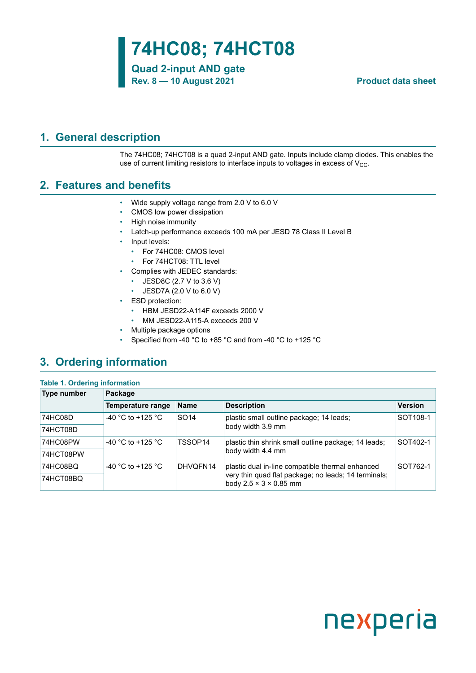**74HC08; 74HCT08**

**Quad 2-input AND gate Rev. 8 — 10 August 2021 Product data sheet**

### <span id="page-0-1"></span>**1. General description**

The 74HC08; 74HCT08 is a quad 2-input AND gate. Inputs include clamp diodes. This enables the use of current limiting resistors to interface inputs to voltages in excess of  $V_{CC}$ .

## <span id="page-0-0"></span>**2. Features and benefits**

- Wide supply voltage range from 2.0 V to 6.0 V
- CMOS low power dissipation
- High noise immunity
- Latch-up performance exceeds 100 mA per JESD 78 Class II Level B
- Input levels:
	- For 74HC08: CMOS level
	- For 74HCT08: TTL level
- Complies with JEDEC standards:
	- JESD8C (2.7 V to 3.6 V)
	- JESD7A (2.0 V to 6.0 V)
- ESD protection:
	- HBM JESD22-A114F exceeds 2000 V
	- MM JESD22-A115-A exceeds 200 V
- Multiple package options
- Specified from -40 °C to +85 °C and from -40 °C to +125 °C

# <span id="page-0-2"></span>**3. Ordering information**

### **Table 1. Ordering information**

| Type number | Package           |                  |                                                                                            |                      |  |  |  |  |  |
|-------------|-------------------|------------------|--------------------------------------------------------------------------------------------|----------------------|--|--|--|--|--|
|             | Temperature range | Name             | <b>Description</b>                                                                         | <b>Version</b>       |  |  |  |  |  |
| 74HC08D     | -40 °C to +125 °C | SO <sub>14</sub> | plastic small outline package; 14 leads;                                                   | SOT <sub>108-1</sub> |  |  |  |  |  |
| 74HCT08D    |                   |                  | body width 3.9 mm                                                                          |                      |  |  |  |  |  |
| 74HC08PW    | -40 °C to +125 °C | TSSOP14          | plastic thin shrink small outline package; 14 leads;                                       | SOT402-1             |  |  |  |  |  |
| 74HCT08PW   |                   |                  | body width 4.4 mm                                                                          |                      |  |  |  |  |  |
| 74HC08BQ    | -40 °C to +125 °C | DHVOFN14         | plastic dual in-line compatible thermal enhanced                                           | SOT762-1             |  |  |  |  |  |
| 74HCT08BQ   |                   |                  | very thin quad flat package; no leads; 14 terminals;<br>body $2.5 \times 3 \times 0.85$ mm |                      |  |  |  |  |  |

# nexperia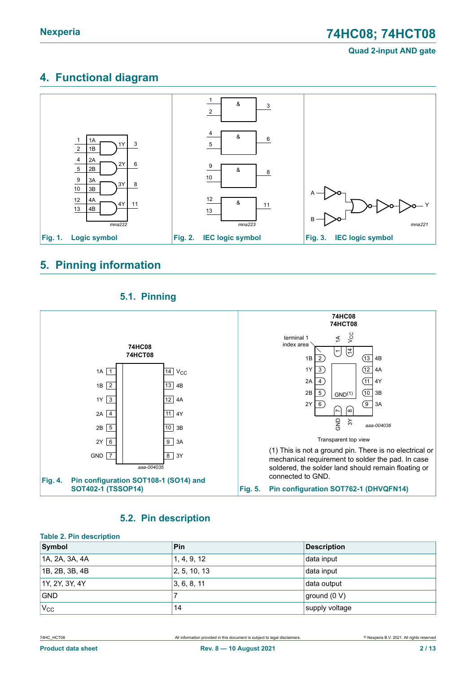## <span id="page-1-0"></span>**4. Functional diagram**



# <span id="page-1-1"></span>**5. Pinning information**

### <span id="page-1-2"></span>**5.1. Pinning**



### <span id="page-1-3"></span>**5.2. Pin description**

| Table 2. Pin description |              |                      |  |  |  |  |
|--------------------------|--------------|----------------------|--|--|--|--|
| Symbol                   | Pin          | <b>Description</b>   |  |  |  |  |
| 1A, 2A, 3A, 4A           | 1, 4, 9, 12  | data input           |  |  |  |  |
| 1B, 2B, 3B, 4B           | 2, 5, 10, 13 | data input           |  |  |  |  |
| 1Y, 2Y, 3Y, 4Y           | 3, 6, 8, 11  | data output          |  |  |  |  |
| <b>GND</b>               |              | $\vert$ ground (0 V) |  |  |  |  |
| $V_{\rm CC}$             | 14           | supply voltage       |  |  |  |  |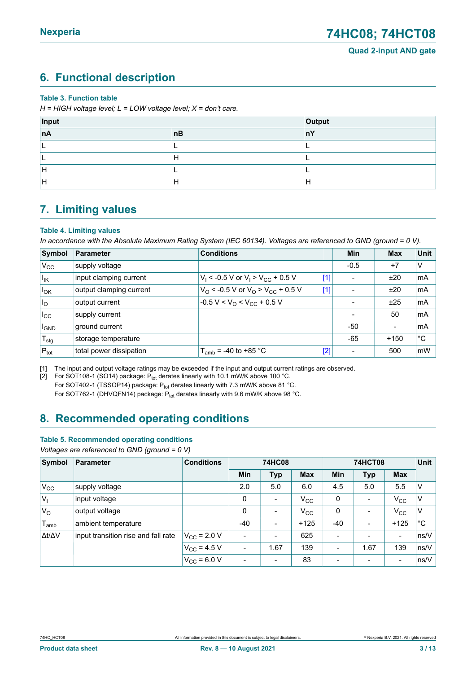## <span id="page-2-2"></span><span id="page-2-0"></span>**6. Functional description**

### **Table 3. Function table**

*H = HIGH voltage level; L = LOW voltage level; X = don't care.*

| Input | Output |    |
|-------|--------|----|
| nA    | nB     | nY |
|       |        | -  |
|       | Ħ      | -  |
| IН    |        | -  |
| H     | н      | H  |

### <span id="page-2-3"></span>**7. Limiting values**

#### <span id="page-2-1"></span>**Table 4. Limiting values**

In accordance with the Absolute Maximum Rating System (IEC 60134). Voltages are referenced to GND (ground = 0 V).

| Symbol                    | <b>Parameter</b>        | <b>Conditions</b>                                                   | Min    | <b>Max</b>               | Unit        |
|---------------------------|-------------------------|---------------------------------------------------------------------|--------|--------------------------|-------------|
| $V_{\rm CC}$              | supply voltage          |                                                                     | $-0.5$ | $+7$                     | V           |
| lικ                       | input clamping current  | $V_1$ < -0.5 V or $V_1$ > $V_{CC}$ + 0.5 V<br>$[1]$                 |        | ±20                      | mA          |
| $I_{OK}$                  | output clamping current | $V_{\rm O}$ < -0.5 V or $V_{\rm O}$ > $V_{\rm CC}$ + 0.5 V<br>$[1]$ |        | ±20                      | mA          |
| I <sub>o</sub>            | output current          | $-0.5 V < VO < VCC + 0.5 V$                                         |        | ±25                      | mA          |
| $I_{\rm CC}$              | supply current          |                                                                     |        | 50                       | mA          |
| <b>I<sub>GND</sub></b>    | ground current          |                                                                     | -50    | $\overline{\phantom{0}}$ | mA          |
| $\mathsf{T}_{\text{stg}}$ | storage temperature     |                                                                     | $-65$  | $+150$                   | $^{\circ}C$ |
| $P_{\text{tot}}$          | total power dissipation | $[2]$<br>$T_{amb}$ = -40 to +85 °C                                  |        | 500                      | mW          |

[1] The input and output voltage ratings may be exceeded if the input and output current ratings are observed.

[2] For SOT108-1 (SO14) package: Ptot derates linearly with 10.1 mW/K above 100 °C.

For SOT402-1 (TSSOP14) package: P<sub>tot</sub> derates linearly with 7.3 mW/K above 81 °C.

For SOT762-1 (DHVQFN14) package:  $P_{tot}$  derates linearly with 9.6 mW/K above 98 °C.

### <span id="page-2-4"></span>**8. Recommended operating conditions**

### **Table 5. Recommended operating conditions**

*Voltages are referenced to GND (ground = 0 V)*

| Symbol              | Parameter                           | <b>Conditions</b>       | <b>74HC08</b>            |                          |              |                          | <b>Unit</b> |                          |      |
|---------------------|-------------------------------------|-------------------------|--------------------------|--------------------------|--------------|--------------------------|-------------|--------------------------|------|
|                     |                                     |                         | <b>Min</b>               | <b>Typ</b>               | <b>Max</b>   | Min                      | <b>Typ</b>  | <b>Max</b>               |      |
| $V_{\rm CC}$        | supply voltage                      |                         | 2.0                      | 5.0                      | 6.0          | 4.5                      | 5.0         | 5.5                      | ١V   |
| $V_1$               | input voltage                       |                         | 0                        | $\blacksquare$           | $V_{\rm CC}$ | 0                        |             | $V_{\rm CC}$             | ١v   |
| $V_{\rm O}$         | output voltage                      |                         | 0                        | $\overline{\phantom{a}}$ | $V_{\rm CC}$ | 0                        |             | $V_{\rm CC}$             | ١V   |
| $T_{amb}$           | ambient temperature                 |                         | $-40$                    | $\overline{\phantom{a}}$ | $+125$       | $-40$                    | -           | $+125$                   | ١°С  |
| $\Delta t/\Delta V$ | input transition rise and fall rate | $V_{\rm CC}$ = 2.0 V    | $\overline{\phantom{0}}$ | $\overline{\phantom{a}}$ | 625          | $\overline{\phantom{a}}$ |             | $\overline{\phantom{a}}$ | ns/V |
|                     |                                     | $V_{\rm CC}$ = 4.5 V    | $\overline{\phantom{a}}$ | 1.67                     | 139          | $\overline{\phantom{0}}$ | 1.67        | 139                      | ns/V |
|                     |                                     | $V_{\text{CC}}$ = 6.0 V | $\overline{\phantom{a}}$ | $\overline{\phantom{a}}$ | 83           | $\overline{\phantom{0}}$ |             | $\overline{\phantom{a}}$ | ns/V |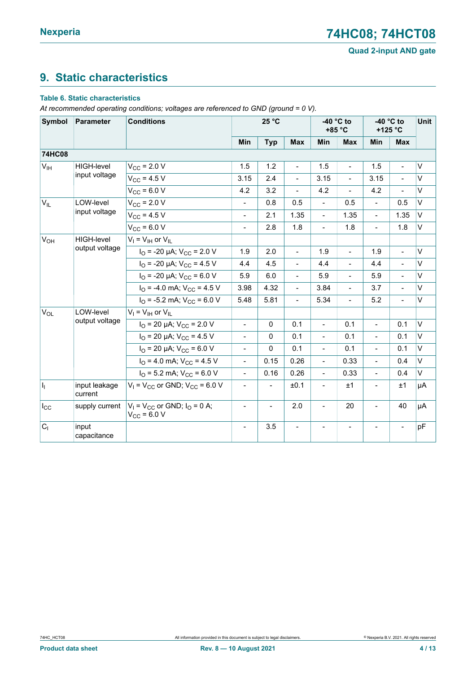# <span id="page-3-0"></span>**9. Static characteristics**

### **Table 6. Static characteristics**

*At recommended operating conditions; voltages are referenced to GND (ground = 0 V).*

| Symbol<br><b>Parameter</b>                      |                            | <b>Conditions</b>                                       | 25 °C                    |                              |                          | -40 $^{\circ}$ C to<br>+85 °C |                          | -40 $^{\circ}$ C to<br>+125 $°C$ |                | <b>Unit</b> |
|-------------------------------------------------|----------------------------|---------------------------------------------------------|--------------------------|------------------------------|--------------------------|-------------------------------|--------------------------|----------------------------------|----------------|-------------|
|                                                 |                            |                                                         | Min                      | <b>Typ</b>                   | <b>Max</b>               | Min                           | <b>Max</b>               | Min                              | <b>Max</b>     |             |
| <b>74HC08</b>                                   |                            |                                                         |                          |                              |                          |                               |                          |                                  |                |             |
| $V_{\text{IH}}$                                 | HIGH-level                 | $V_{CC}$ = 2.0 V                                        | 1.5                      | 1.2                          | $\frac{1}{2}$            | 1.5                           | $\blacksquare$           | 1.5                              | $\overline{a}$ | $\vee$      |
|                                                 | input voltage              | $V_{CC} = 4.5 V$                                        | 3.15                     | 2.4                          |                          | 3.15                          | $\overline{a}$           | 3.15                             | $\blacksquare$ | $\vee$      |
|                                                 |                            | $V_{CC}$ = 6.0 V                                        | 4.2                      | 3.2                          | $\overline{a}$           | 4.2                           | $\overline{\phantom{0}}$ | 4.2                              | $\blacksquare$ | V           |
| $V_{IL}$                                        | LOW-level                  | $V_{\rm CC}$ = 2.0 V                                    | $\overline{\phantom{a}}$ | 0.8                          | 0.5                      | $\overline{\phantom{a}}$      | 0.5                      | $\overline{\phantom{a}}$         | 0.5            | V           |
|                                                 | input voltage              | $V_{CC}$ = 4.5 V                                        | $\blacksquare$           | 2.1                          | 1.35                     | $\blacksquare$                | 1.35                     | $\blacksquare$                   | 1.35           | V           |
|                                                 | $V_{CC}$ = 6.0 V           | $\blacksquare$                                          | 2.8                      | 1.8                          | $\overline{a}$           | 1.8                           | $\blacksquare$           | 1.8                              | V              |             |
| <b>HIGH-level</b><br>$V_{OH}$<br>output voltage | $V_1 = V_{1H}$ or $V_{1I}$ |                                                         |                          |                              |                          |                               |                          |                                  |                |             |
|                                                 |                            | $I_{\Omega}$ = -20 µA; V <sub>CC</sub> = 2.0 V          | 1.9                      | 2.0                          | $\frac{1}{2}$            | 1.9                           | $\blacksquare$           | 1.9                              | $\overline{a}$ | $\vee$      |
|                                                 |                            | $I_{\Omega}$ = -20 µA; $V_{\text{CC}}$ = 4.5 V          | 4.4                      | 4.5                          | $\overline{\phantom{a}}$ | 4.4                           | $\blacksquare$           | 4.4                              | $\frac{1}{2}$  | V           |
|                                                 |                            | $I_{\Omega}$ = -20 µA; $V_{\text{CC}}$ = 6.0 V          | 5.9                      | 6.0                          | $\overline{\phantom{0}}$ | 5.9                           | $\overline{\phantom{a}}$ | 5.9                              | $\frac{1}{2}$  | $\vee$      |
|                                                 |                            | $I_{\Omega}$ = -4.0 mA; $V_{\text{CC}}$ = 4.5 V         | 3.98                     | 4.32                         | $\overline{\phantom{0}}$ | 3.84                          | $\blacksquare$           | 3.7                              | $\overline{a}$ | V           |
|                                                 |                            | $I_{\text{O}}$ = -5.2 mA; $V_{\text{CC}}$ = 6.0 V       | 5.48                     | 5.81                         | $\overline{a}$           | 5.34                          | $\overline{a}$           | 5.2                              | $\overline{a}$ | $\vee$      |
| $V_{OL}$                                        | LOW-level                  | $V_I = V_{IH}$ or $V_{IL}$                              |                          |                              |                          |                               |                          |                                  |                |             |
|                                                 | output voltage             | $I_{\Omega}$ = 20 µA; $V_{\text{CC}}$ = 2.0 V           | $\overline{\phantom{a}}$ | $\mathbf{0}$                 | 0.1                      | $\blacksquare$                | 0.1                      | $\blacksquare$                   | 0.1            | V           |
|                                                 |                            | $I_{\text{O}}$ = 20 µA; $V_{\text{CC}}$ = 4.5 V         | $\blacksquare$           | $\Omega$                     | 0.1                      | $\overline{a}$                | 0.1                      | $\overline{\phantom{a}}$         | 0.1            | V           |
|                                                 |                            | $I_{\text{O}}$ = 20 µA; $V_{\text{CC}}$ = 6.0 V         |                          | $\mathbf{0}$                 | 0.1                      | $\overline{a}$                | 0.1                      | $\overline{a}$                   | 0.1            | $\vee$      |
|                                                 |                            | $I_{\Omega}$ = 4.0 mA; $V_{\Omega}$ = 4.5 V             | $\blacksquare$           | 0.15                         | 0.26                     | $\overline{a}$                | 0.33                     | $\overline{a}$                   | 0.4            | $\vee$      |
|                                                 |                            | $I_{\text{O}}$ = 5.2 mA; $V_{\text{CC}}$ = 6.0 V        | $\blacksquare$           | 0.16                         | 0.26                     | $\frac{1}{2}$                 | 0.33                     | $\overline{\phantom{a}}$         | 0.4            | V           |
| $\mathbf{I}_{\mathrm{I}}$                       | input leakage<br>current   | $V_1$ = $V_{CC}$ or GND; $V_{CC}$ = 6.0 V               | $\blacksquare$           | $\qquad \qquad \blacksquare$ | ±0.1                     | $\frac{1}{2}$                 | ±1                       | $\blacksquare$                   | ±1             | μA          |
| $I_{\rm CC}$                                    | supply current             | $V_1 = V_{CC}$ or GND; $I_Q = 0$ A;<br>$V_{CC}$ = 6.0 V |                          |                              | 2.0                      | $\overline{a}$                | 20                       | $\overline{\phantom{a}}$         | 40             | μA          |
| C <sub>1</sub>                                  | input<br>capacitance       |                                                         |                          | 3.5                          |                          |                               |                          |                                  |                | pF          |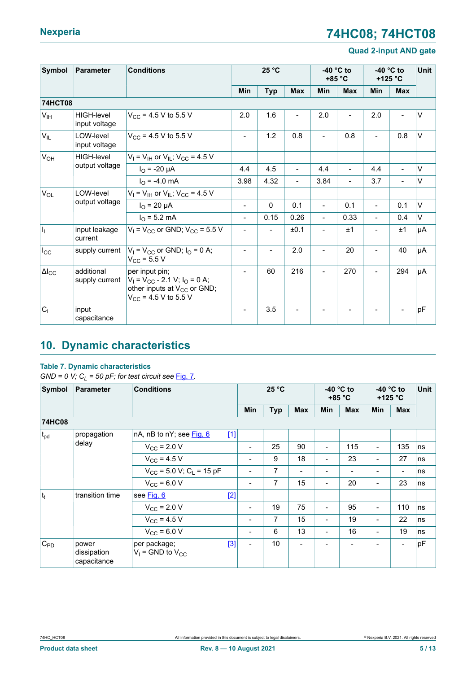### **Quad 2-input AND gate**

| Symbol          | <b>Parameter</b>                    | <b>Conditions</b>                                                                                                                | 25 °C                    |            | -40 $^{\circ}$ C to<br>$+85 °C$ |                          | -40 $^{\circ}$ C to<br>+125 $^{\circ}$ C |                | Unit                     |        |
|-----------------|-------------------------------------|----------------------------------------------------------------------------------------------------------------------------------|--------------------------|------------|---------------------------------|--------------------------|------------------------------------------|----------------|--------------------------|--------|
|                 |                                     |                                                                                                                                  | Min                      | <b>Typ</b> | <b>Max</b>                      | <b>Min</b>               | <b>Max</b>                               | <b>Min</b>     | <b>Max</b>               |        |
| <b>74HCT08</b>  |                                     |                                                                                                                                  |                          |            |                                 |                          |                                          |                |                          |        |
| V <sub>IH</sub> | <b>HIGH-level</b><br>input voltage  | $V_{CC}$ = 4.5 V to 5.5 V                                                                                                        | 2.0                      | 1.6        |                                 | 2.0                      |                                          | 2.0            | $\overline{\phantom{0}}$ | $\vee$ |
| $V_{IL}$        | LOW-level<br>input voltage          | $V_{CC}$ = 4.5 V to 5.5 V                                                                                                        |                          | 1.2        | 0.8                             | $\overline{a}$           | 0.8                                      |                | 0.8                      | $\vee$ |
| V <sub>OH</sub> | <b>HIGH-level</b><br>output voltage | $V_1 = V_{1H}$ or $V_{1L}$ ; $V_{CC} = 4.5$ V                                                                                    |                          |            |                                 |                          |                                          |                |                          |        |
|                 |                                     | $I_{\Omega}$ = -20 µA                                                                                                            | 4.4                      | 4.5        | $\blacksquare$                  | 4.4                      | $\blacksquare$                           | 4.4            | $\blacksquare$           | $\vee$ |
|                 |                                     | $I_{\Omega}$ = -4.0 mA                                                                                                           | 3.98                     | 4.32       | $\blacksquare$                  | 3.84                     | $\blacksquare$                           | 3.7            | $\overline{\phantom{0}}$ | IV.    |
| $V_{OL}$        | LOW-level                           | $V_1 = V_{1H}$ or $V_{1L}$ ; $V_{CC} = 4.5$ V                                                                                    |                          |            |                                 |                          |                                          |                |                          |        |
|                 | output voltage                      | $I_{\Omega}$ = 20 µA                                                                                                             | $\overline{\phantom{a}}$ | $\Omega$   | 0.1                             | $\blacksquare$           | 0.1                                      | $\blacksquare$ | 0.1                      | IV.    |
|                 |                                     | $IO$ = 5.2 mA                                                                                                                    | $\overline{\phantom{a}}$ | 0.15       | 0.26                            | $\blacksquare$           | 0.33                                     | $\blacksquare$ | 0.4                      | V      |
| h,              | input leakage<br>current            | $V_1$ = $V_{CC}$ or GND; $V_{CC}$ = 5.5 V                                                                                        |                          |            | ±0.1                            | $\overline{\phantom{0}}$ | ±1                                       |                | ±1                       | μA     |
| $I_{\rm CC}$    | supply current                      | $V_1 = V_{CC}$ or GND; $I_Q = 0$ A;<br>$V_{CC}$ = 5.5 V                                                                          |                          |            | 2.0                             | $\blacksquare$           | 20                                       |                | 40                       | μA     |
| $\Delta I_{CC}$ | additional<br>supply current        | per input pin;<br>$V_1 = V_{CC} - 2.1 V$ ; $I_0 = 0 A$ ;<br>other inputs at V <sub>CC</sub> or GND;<br>$V_{CC}$ = 4.5 V to 5.5 V |                          | 60         | 216                             | $\blacksquare$           | 270                                      | $\blacksquare$ | 294                      | µA     |
| $ C_1 $         | input<br>capacitance                |                                                                                                                                  |                          | 3.5        |                                 |                          |                                          |                |                          | pF     |

## <span id="page-4-0"></span>**10. Dynamic characteristics**

### **Table 7. Dynamic characteristics**

*GND* = 0 *V*;  $C_L$  = 50 pF; for test circuit see **[Fig. 7](#page-6-0)**.

| Symbol            | <b>Parameter</b>                    | <b>Conditions</b>                                |                              | 25 °C          |                          |     | -40 $^{\circ}$ C to<br>$+85 °C$ |                          | -40 $^{\circ}$ C to<br>+125 $\degree$ C | <b>Unit</b> |
|-------------------|-------------------------------------|--------------------------------------------------|------------------------------|----------------|--------------------------|-----|---------------------------------|--------------------------|-----------------------------------------|-------------|
|                   |                                     |                                                  | Min                          | <b>Typ</b>     | <b>Max</b>               | Min | <b>Max</b>                      | Min                      | Max                                     |             |
| <b>74HC08</b>     |                                     |                                                  |                              |                |                          |     |                                 |                          |                                         |             |
| $ t_{\text{pd}} $ | propagation                         | $[1]$<br>nA, nB to nY; see Fig. 6                |                              |                |                          |     |                                 |                          |                                         |             |
|                   | delay                               | $V_{\rm CC}$ = 2.0 V                             | $\qquad \qquad \blacksquare$ | 25             | 90                       | Ξ.  | 115                             | $\overline{\phantom{a}}$ | 135                                     | ns          |
|                   |                                     | $V_{\rm CC}$ = 4.5 V                             | $\blacksquare$               | 9              | 18                       | Ξ.  | 23                              | $\overline{\phantom{0}}$ | 27                                      | ns          |
|                   |                                     | $V_{CC}$ = 5.0 V; C <sub>L</sub> = 15 pF         | $\blacksquare$               | $\overline{7}$ |                          |     |                                 |                          | $\overline{\phantom{0}}$                | <b>ns</b>   |
|                   |                                     | $V_{CC}$ = 6.0 V                                 | $\blacksquare$               | 7              | 15                       | Ξ.  | 20                              | $\overline{\phantom{0}}$ | 23                                      | ns          |
| $ t_t $           | transition time                     | see Fig. 6<br>$[2]$                              |                              |                |                          |     |                                 |                          |                                         |             |
|                   |                                     | $V_{\rm CC}$ = 2.0 V                             | $\blacksquare$               | 19             | 75                       | Ξ.  | 95                              | $\overline{\phantom{a}}$ | 110                                     | ns          |
|                   |                                     | $V_{\rm CC}$ = 4.5 V                             | $\qquad \qquad \blacksquare$ | $\overline{7}$ | 15                       | Ξ.  | 19                              | $\overline{\phantom{a}}$ | 22                                      | <b>I</b> ns |
|                   |                                     | $V_{CC}$ = 6.0 V                                 | $\overline{a}$               | 6              | 13                       | Ξ.  | 16                              | $\overline{\phantom{a}}$ | 19                                      | <b>ns</b>   |
| $C_{PD}$          | power<br>dissipation<br>capacitance | $[3]$<br>per package;<br>$V_1$ = GND to $V_{CC}$ | $\overline{\phantom{0}}$     | 10             | $\overline{\phantom{0}}$ |     |                                 |                          | $\qquad \qquad \blacksquare$            | pF          |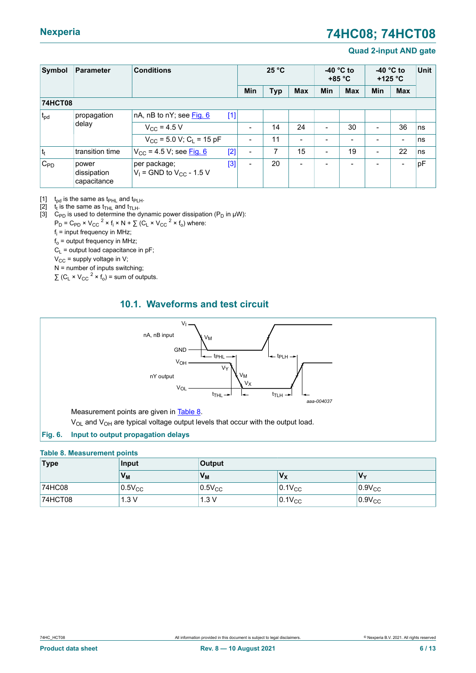### **Quad 2-input AND gate**

<span id="page-5-1"></span>

| Symbol          | <b>Parameter</b>                    | <b>Conditions</b>                               |                                   | 25 °C |            |                | -40 $^{\circ}$ C to<br>$+85 °C$ |            | -40 $^{\circ}$ C to<br>+125 $^{\circ}$ C |                          | Unit |
|-----------------|-------------------------------------|-------------------------------------------------|-----------------------------------|-------|------------|----------------|---------------------------------|------------|------------------------------------------|--------------------------|------|
|                 |                                     |                                                 | Min                               |       | <b>Typ</b> | <b>Max</b>     | Min                             | <b>Max</b> | Min                                      | <b>Max</b>               |      |
| <b>74HCT08</b>  |                                     |                                                 |                                   |       |            |                |                                 |            |                                          |                          |      |
| t <sub>pd</sub> | propagation                         | nA, nB to nY; see Fig. 6                        | $[1]$                             |       |            |                |                                 |            |                                          |                          |      |
|                 | delay                               | $V_{\rm CC}$ = 4.5 V                            | $\overline{\phantom{a}}$          |       | 14         | 24             | $\blacksquare$                  | 30         | $\overline{\phantom{a}}$                 | 36                       | Ins  |
|                 |                                     | $V_{CC}$ = 5.0 V; C <sub>L</sub> = 15 pF        |                                   |       | 11         | $\blacksquare$ |                                 |            |                                          | $\overline{\phantom{a}}$ | Ins  |
| $ t_t$          | transition time                     | $V_{CC}$ = 4.5 V; see Fig. 6                    | $[2]$<br>$\overline{\phantom{a}}$ |       | 7          | 15             |                                 | 19         |                                          | 22                       | Ins  |
| $C_{PD}$        | power<br>dissipation<br>capacitance | per package;<br>$V_1$ = GND to $V_{CC}$ - 1.5 V | $[3]$<br>$\overline{\phantom{a}}$ |       | 20         | $\blacksquare$ |                                 |            |                                          | $\blacksquare$           | pF   |

[1]  $t_{pd}$  is the same as  $t_{PHL}$  and  $t_{PLH}$ .

[2]  $t_t$  is the same as  $t_{\text{THL}}$  and  $t_{\text{TLH}}$ .

[3]  $\,$  C<sub>PD</sub> is used to determine the dynamic power dissipation (P<sub>D</sub> in μW):

 $P_D = C_{PD} \times V_{CC}^2 \times f_i \times N + \sum (C_L \times V_{CC}^2 \times f_o)$  where:

fi = input frequency in MHz;

 $f_0$  = output frequency in MHz;

 $C_1$  = output load capacitance in pF;

 $V_{CC}$  = supply voltage in V;

 $N =$  number of inputs switching;

 $\sum$  (C<sub>L</sub> × V<sub>CC</sub> <sup>2</sup> × f<sub>o</sub>) = sum of outputs.

### <span id="page-5-3"></span>**10.1. Waveforms and test circuit**

<span id="page-5-0"></span>

### <span id="page-5-2"></span>**Fig. 6. Input to output propagation delays**

#### **Table 8. Measurement points**

| <b>Type</b>    | Input          | Output         |             |             |  |  |
|----------------|----------------|----------------|-------------|-------------|--|--|
|                | V <sub>M</sub> | V <sub>M</sub> | $V_{\rm X}$ | V٧          |  |  |
| 74HC08         | $0.5V_{CC}$    | $0.5V_{CC}$    | $0.1V_{CC}$ | $0.9V_{CC}$ |  |  |
| <b>74HCT08</b> | 1.3V           | 1.3V           | $0.1V_{CC}$ | $0.9V_{CC}$ |  |  |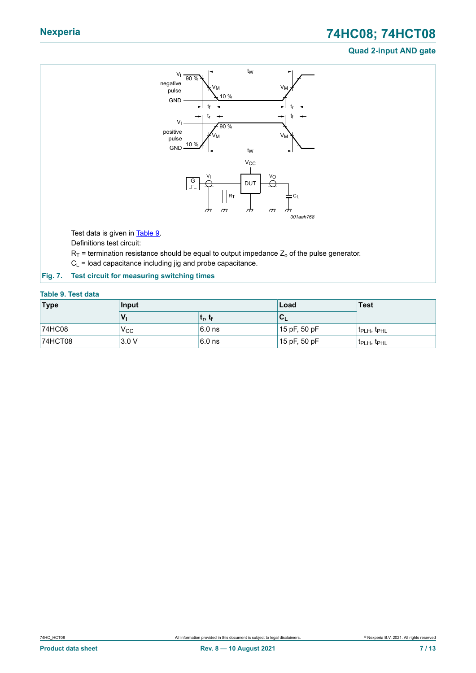### **Quad 2-input AND gate**

<span id="page-6-0"></span>

Test data is given in [Table](#page-6-1) 9.

Definitions test circuit:

 $R_T$  = termination resistance should be equal to output impedance  $Z_0$  of the pulse generator.

<span id="page-6-1"></span> $C_L$  = load capacitance including jig and probe capacitance.

### **Fig. 7. Test circuit for measuring switching times**

### **Table 9. Test data**

| Type        | Input        |                                 | Load         | <b>Test</b>                          |
|-------------|--------------|---------------------------------|--------------|--------------------------------------|
|             |              | ւ <sub>r</sub> , ւ <sub>ք</sub> | '∽∟          |                                      |
| 74HC08      | $V_{\rm CC}$ | 16.0 ns                         | 15 pF, 50 pF | ∣Т <sub>РLН</sub> , Т <sub>РНL</sub> |
| $ 74$ HCT08 | 3.0V         | 6.0 ns                          | 15 pF, 50 pF |                                      |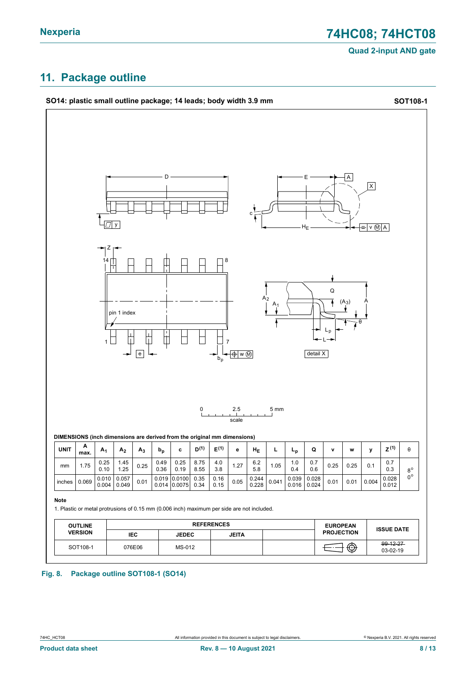### **Quad 2-input AND gate**

# <span id="page-7-0"></span>**11. Package outline**



### **Fig. 8. Package outline SOT108-1 (SO14)**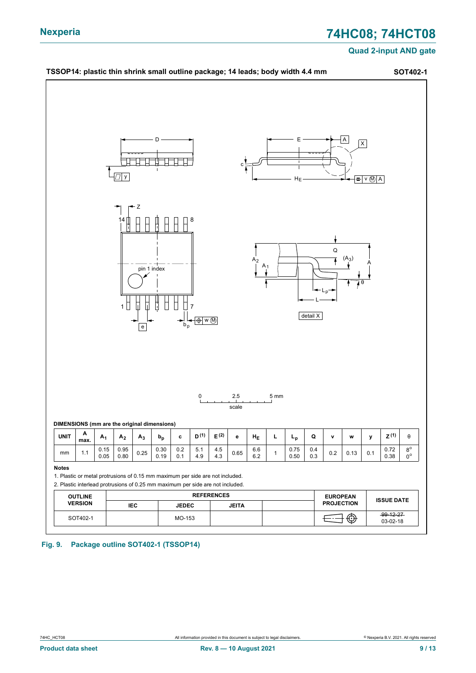### **Quad 2-input AND gate**



**Fig. 9. Package outline SOT402-1 (TSSOP14)**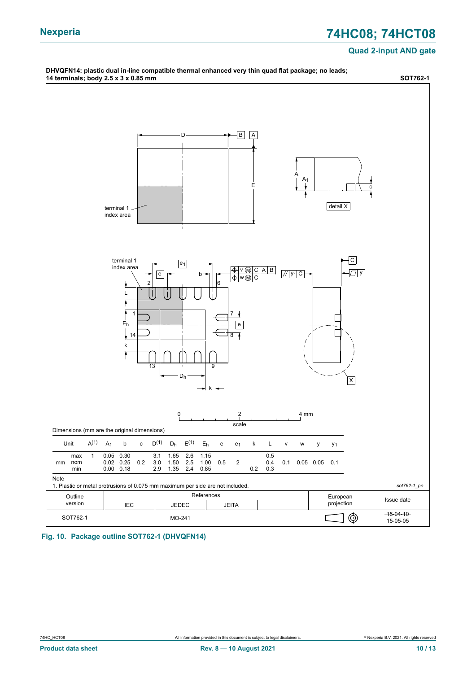### **Quad 2-input AND gate**



**Fig. 10. Package outline SOT762-1 (DHVQFN14)**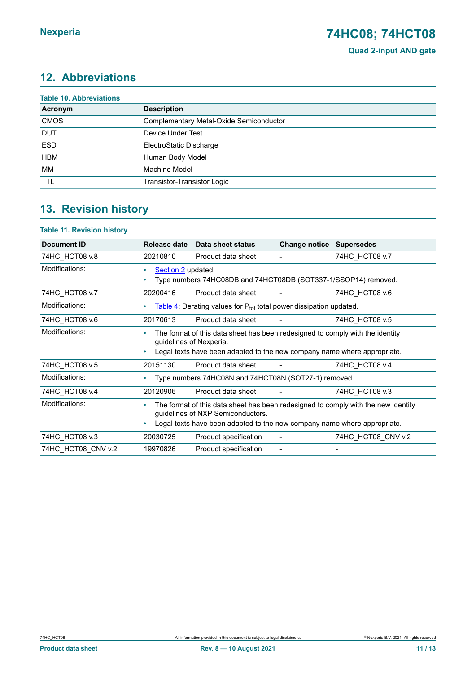# <span id="page-10-0"></span>**12. Abbreviations**

| <b>Table 10. Abbreviations</b> |                                         |  |  |  |  |
|--------------------------------|-----------------------------------------|--|--|--|--|
| Acronym                        | <b>Description</b>                      |  |  |  |  |
| <b>CMOS</b>                    | Complementary Metal-Oxide Semiconductor |  |  |  |  |
| <b>DUT</b>                     | Device Under Test                       |  |  |  |  |
| <b>ESD</b>                     | ElectroStatic Discharge                 |  |  |  |  |
| <b>HBM</b>                     | Human Body Model                        |  |  |  |  |
| <b>MM</b>                      | Machine Model                           |  |  |  |  |
| <b>TTL</b>                     | Transistor-Transistor Logic             |  |  |  |  |

# <span id="page-10-1"></span>**13. Revision history**

### **Table 11. Revision history**

| <b>Document ID</b> | <b>Release date</b>                                                                                                                                                                                     | <b>Data sheet status</b> | <b>Change notice</b> | <b>Supersedes</b>  |  |
|--------------------|---------------------------------------------------------------------------------------------------------------------------------------------------------------------------------------------------------|--------------------------|----------------------|--------------------|--|
| 74HC_HCT08 v.8     | 20210810                                                                                                                                                                                                | Product data sheet       |                      | 74HC HCT08 v.7     |  |
| Modifications:     | Section 2 updated.<br>٠<br>Type numbers 74HC08DB and 74HCT08DB (SOT337-1/SSOP14) removed.<br>٠                                                                                                          |                          |                      |                    |  |
|                    |                                                                                                                                                                                                         |                          |                      |                    |  |
| 74HC_HCT08 v.7     | 20200416                                                                                                                                                                                                | Product data sheet       |                      | 74HC HCT08 v.6     |  |
| Modifications:     | Table 4: Derating values for $P_{tot}$ total power dissipation updated.                                                                                                                                 |                          |                      |                    |  |
| 74HC HCT08 v.6     | 20170613                                                                                                                                                                                                | Product data sheet       |                      | 74HC HCT08 v.5     |  |
| Modifications:     | The format of this data sheet has been redesigned to comply with the identity<br>٠<br>guidelines of Nexperia.<br>Legal texts have been adapted to the new company name where appropriate.<br>٠          |                          |                      |                    |  |
| 74HC_HCT08 v.5     | 20151130                                                                                                                                                                                                | Product data sheet       |                      | 74HC HCT08 v.4     |  |
| Modifications:     | Type numbers 74HC08N and 74HCT08N (SOT27-1) removed.                                                                                                                                                    |                          |                      |                    |  |
| 74HC HCT08 v.4     | 20120906                                                                                                                                                                                                | Product data sheet       |                      | 74HC HCT08 v.3     |  |
| Modifications:     | The format of this data sheet has been redesigned to comply with the new identity<br>۰<br>guidelines of NXP Semiconductors.<br>Legal texts have been adapted to the new company name where appropriate. |                          |                      |                    |  |
| 74HC HCT08 v.3     | 20030725                                                                                                                                                                                                | Product specification    |                      | 74HC_HCT08_CNV v.2 |  |
| 74HC HCT08 CNV v.2 | 19970826                                                                                                                                                                                                | Product specification    |                      |                    |  |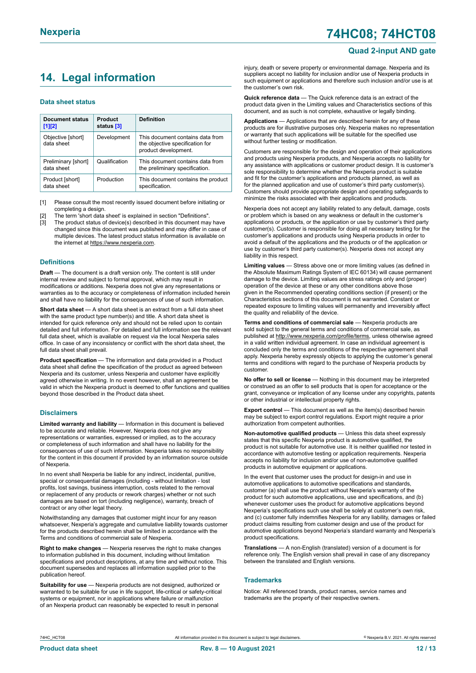#### **Quad 2-input AND gate**

# <span id="page-11-0"></span>**14. Legal information**

#### **Data sheet status**

| Document status<br>$[1]$ [2]      | Product<br>status [3] | <b>Definition</b>                                                                           |
|-----------------------------------|-----------------------|---------------------------------------------------------------------------------------------|
| Objective [short]<br>data sheet   | Development           | This document contains data from<br>the objective specification for<br>product development. |
| Preliminary [short]<br>data sheet | Qualification         | This document contains data from<br>the preliminary specification.                          |
| Product [short]<br>data sheet     | Production            | This document contains the product<br>specification.                                        |

[1] Please consult the most recently issued document before initiating or completing a design.

The term 'short data sheet' is explained in section "Definitions".

[3] The product status of device(s) described in this document may have changed since this document was published and may differ in case of multiple devices. The latest product status information is available on the internet at [https://www.nexperia.com.](https://www.nexperia.com)

#### **Definitions**

**Draft** — The document is a draft version only. The content is still under internal review and subject to formal approval, which may result in modifications or additions. Nexperia does not give any representations or warranties as to the accuracy or completeness of information included herein and shall have no liability for the consequences of use of such information.

**Short data sheet** — A short data sheet is an extract from a full data sheet with the same product type number(s) and title. A short data sheet is intended for quick reference only and should not be relied upon to contain detailed and full information. For detailed and full information see the relevant full data sheet, which is available on request via the local Nexperia sales office. In case of any inconsistency or conflict with the short data sheet, the full data sheet shall prevail.

**Product specification** — The information and data provided in a Product data sheet shall define the specification of the product as agreed between Nexperia and its customer, unless Nexperia and customer have explicitly agreed otherwise in writing. In no event however, shall an agreement be valid in which the Nexperia product is deemed to offer functions and qualities beyond those described in the Product data sheet.

#### **Disclaimers**

**Limited warranty and liability** — Information in this document is believed to be accurate and reliable. However, Nexperia does not give any representations or warranties, expressed or implied, as to the accuracy or completeness of such information and shall have no liability for the consequences of use of such information. Nexperia takes no responsibility for the content in this document if provided by an information source outside of Nexperia.

In no event shall Nexperia be liable for any indirect, incidental, punitive, special or consequential damages (including - without limitation - lost profits, lost savings, business interruption, costs related to the removal or replacement of any products or rework charges) whether or not such damages are based on tort (including negligence), warranty, breach of contract or any other legal theory.

Notwithstanding any damages that customer might incur for any reason whatsoever, Nexperia's aggregate and cumulative liability towards customer for the products described herein shall be limited in accordance with the Terms and conditions of commercial sale of Nexperia.

**Right to make changes** — Nexperia reserves the right to make changes to information published in this document, including without limitation specifications and product descriptions, at any time and without notice. This document supersedes and replaces all information supplied prior to the publication hereof

**Suitability for use** — Nexperia products are not designed, authorized or warranted to be suitable for use in life support, life-critical or safety-critical systems or equipment, nor in applications where failure or malfunction of an Nexperia product can reasonably be expected to result in personal

injury, death or severe property or environmental damage. Nexperia and its suppliers accept no liability for inclusion and/or use of Nexperia products in such equipment or applications and therefore such inclusion and/or use is at the customer's own risk.

**Quick reference data** — The Quick reference data is an extract of the product data given in the Limiting values and Characteristics sections of this document, and as such is not complete, exhaustive or legally binding.

**Applications** — Applications that are described herein for any of these products are for illustrative purposes only. Nexperia makes no representation or warranty that such applications will be suitable for the specified use without further testing or modification.

Customers are responsible for the design and operation of their applications and products using Nexperia products, and Nexperia accepts no liability for any assistance with applications or customer product design. It is customer's sole responsibility to determine whether the Nexperia product is suitable and fit for the customer's applications and products planned, as well as for the planned application and use of customer's third party customer(s). Customers should provide appropriate design and operating safeguards to minimize the risks associated with their applications and products.

Nexperia does not accept any liability related to any default, damage, costs or problem which is based on any weakness or default in the customer's applications or products, or the application or use by customer's third party customer(s). Customer is responsible for doing all necessary testing for the customer's applications and products using Nexperia products in order to avoid a default of the applications and the products or of the application or use by customer's third party customer(s). Nexperia does not accept any liability in this respect.

**Limiting values** — Stress above one or more limiting values (as defined in the Absolute Maximum Ratings System of IEC 60134) will cause permanent damage to the device. Limiting values are stress ratings only and (proper) operation of the device at these or any other conditions above those given in the Recommended operating conditions section (if present) or the Characteristics sections of this document is not warranted. Constant or repeated exposure to limiting values will permanently and irreversibly affect the quality and reliability of the device.

**Terms and conditions of commercial sale** — Nexperia products are sold subject to the general terms and conditions of commercial sale, as published at [http://www.nexperia.com/profile/terms,](http://www.nexperia.com/profile/terms) unless otherwise agreed in a valid written individual agreement. In case an individual agreement is concluded only the terms and conditions of the respective agreement shall apply. Nexperia hereby expressly objects to applying the customer's general terms and conditions with regard to the purchase of Nexperia products by customer.

**No offer to sell or license** — Nothing in this document may be interpreted or construed as an offer to sell products that is open for acceptance or the grant, conveyance or implication of any license under any copyrights, patents or other industrial or intellectual property rights.

**Export control** — This document as well as the item(s) described herein may be subject to export control regulations. Export might require a prior authorization from competent authorities.

**Non-automotive qualified products** — Unless this data sheet expressly states that this specific Nexperia product is automotive qualified, the product is not suitable for automotive use. It is neither qualified nor tested in accordance with automotive testing or application requirements. Nexperia accepts no liability for inclusion and/or use of non-automotive qualified products in automotive equipment or applications.

In the event that customer uses the product for design-in and use in automotive applications to automotive specifications and standards, customer (a) shall use the product without Nexperia's warranty of the product for such automotive applications, use and specifications, and (b) whenever customer uses the product for automotive applications beyond Nexperia's specifications such use shall be solely at customer's own risk, and (c) customer fully indemnifies Nexperia for any liability, damages or failed product claims resulting from customer design and use of the product for automotive applications beyond Nexperia's standard warranty and Nexperia's product specifications.

**Translations** — A non-English (translated) version of a document is for reference only. The English version shall prevail in case of any discrepancy between the translated and English versions.

#### **Trademarks**

Notice: All referenced brands, product names, service names and trademarks are the property of their respective owners.